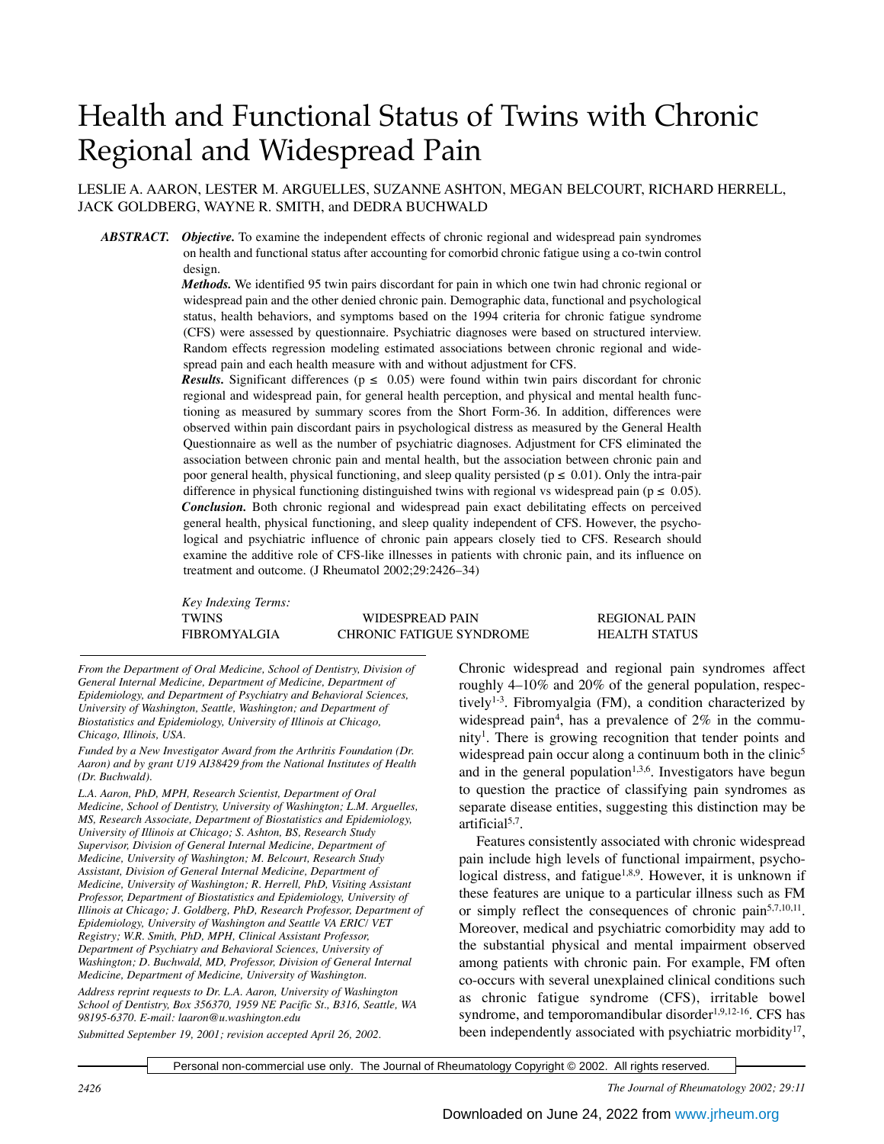# Health and Functional Status of Twins with Chronic Regional and Widespread Pain

LESLIE A. AARON, LESTER M. ARGUELLES, SUZANNE ASHTON, MEGAN BELCOURT, RICHARD HERRELL, JACK GOLDBERG, WAYNE R. SMITH, and DEDRA BUCHWALD

*ABSTRACT. Objective.* To examine the independent effects of chronic regional and widespread pain syndromes on health and functional status after accounting for comorbid chronic fatigue using a co-twin control design.

> *Methods.* We identified 95 twin pairs discordant for pain in which one twin had chronic regional or widespread pain and the other denied chronic pain. Demographic data, functional and psychological status, health behaviors, and symptoms based on the 1994 criteria for chronic fatigue syndrome (CFS) were assessed by questionnaire. Psychiatric diagnoses were based on structured interview. Random effects regression modeling estimated associations between chronic regional and widespread pain and each health measure with and without adjustment for CFS.

> *Results.* Significant differences ( $p \le 0.05$ ) were found within twin pairs discordant for chronic regional and widespread pain, for general health perception, and physical and mental health functioning as measured by summary scores from the Short Form-36. In addition, differences were observed within pain discordant pairs in psychological distress as measured by the General Health Questionnaire as well as the number of psychiatric diagnoses. Adjustment for CFS eliminated the association between chronic pain and mental health, but the association between chronic pain and poor general health, physical functioning, and sleep quality persisted ( $p \le 0.01$ ). Only the intra-pair difference in physical functioning distinguished twins with regional vs widespread pain ( $p \le 0.05$ ). *Conclusion.* Both chronic regional and widespread pain exact debilitating effects on perceived general health, physical functioning, and sleep quality independent of CFS. However, the psychological and psychiatric influence of chronic pain appears closely tied to CFS. Research should examine the additive role of CFS-like illnesses in patients with chronic pain, and its influence on treatment and outcome. (J Rheumatol 2002;29:2426–34)

*Key Indexing Terms:*

TWINS WIDESPREAD PAIN REGIONAL PAIN FIBROMYALGIA CHRONIC FATIGUE SYNDROME HEALTH STATUS

*From the Department of Oral Medicine, School of Dentistry, Division of General Internal Medicine, Department of Medicine, Department of Epidemiology, and Department of Psychiatry and Behavioral Sciences, University of Washington, Seattle, Washington; and Department of Biostatistics and Epidemiology, University of Illinois at Chicago, Chicago, Illinois, USA.*

*Funded by a New Investigator Award from the Arthritis Foundation (Dr. Aaron) and by grant U19 AI38429 from the National Institutes of Health (Dr. Buchwald).*

*L.A. Aaron, PhD, MPH, Research Scientist, Department of Oral Medicine, School of Dentistry, University of Washington; L.M. Arguelles, MS, Research Associate, Department of Biostatistics and Epidemiology, University of Illinois at Chicago; S. Ashton, BS, Research Study Supervisor, Division of General Internal Medicine, Department of Medicine, University of Washington; M. Belcourt, Research Study Assistant, Division of General Internal Medicine, Department of Medicine, University of Washington; R. Herrell, PhD, Visiting Assistant Professor, Department of Biostatistics and Epidemiology, University of Illinois at Chicago; J. Goldberg, PhD, Research Professor, Department of Epidemiology, University of Washington and Seattle VA ERIC/ VET Registry; W.R. Smith, PhD, MPH, Clinical Assistant Professor, Department of Psychiatry and Behavioral Sciences, University of Washington; D. Buchwald, MD, Professor, Division of General Internal Medicine, Department of Medicine, University of Washington.*

*Address reprint requests to Dr. L.A. Aaron, University of Washington School of Dentistry, Box 356370, 1959 NE Pacific St., B316, Seattle, WA 98195-6370. E-mail: laaron@u.washington.edu Submitted September 19, 2001; revision accepted April 26, 2002.*

Chronic widespread and regional pain syndromes affect roughly 4–10% and 20% of the general population, respectively<sup>1-3</sup>. Fibromyalgia (FM), a condition characterized by widespread pain<sup>4</sup>, has a prevalence of  $2\%$  in the community<sup>1</sup>. There is growing recognition that tender points and widespread pain occur along a continuum both in the clinic<sup>5</sup> and in the general population<sup>1,3,6</sup>. Investigators have begun to question the practice of classifying pain syndromes as separate disease entities, suggesting this distinction may be artificial $5,7$ .

Features consistently associated with chronic widespread pain include high levels of functional impairment, psychological distress, and fatigue<sup>1,8,9</sup>. However, it is unknown if these features are unique to a particular illness such as FM or simply reflect the consequences of chronic pain<sup>5,7,10,11</sup>. Moreover, medical and psychiatric comorbidity may add to the substantial physical and mental impairment observed among patients with chronic pain. For example, FM often co-occurs with several unexplained clinical conditions such as chronic fatigue syndrome (CFS), irritable bowel syndrome, and temporomandibular disorder $1,9,12-16$ . CFS has been independently associated with psychiatric morbidity<sup>17</sup>,

Personal non-commercial use only. The Journal of Rheumatology Copyright © 2002. All rights reserved.

*2426 The Journal of Rheumatology 2002; 29:11*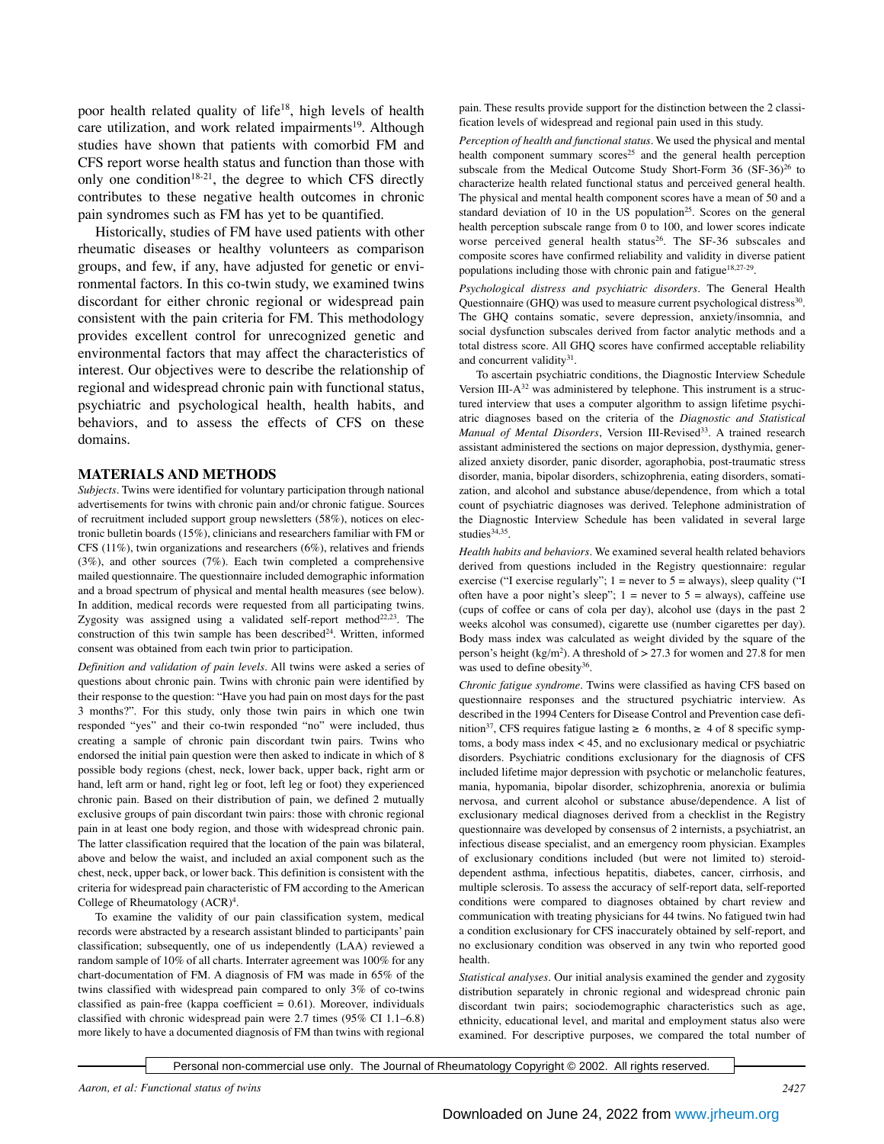poor health related quality of life<sup>18</sup>, high levels of health care utilization, and work related impairments<sup>19</sup>. Although studies have shown that patients with comorbid FM and CFS report worse health status and function than those with only one condition<sup>18-21</sup>, the degree to which CFS directly contributes to these negative health outcomes in chronic pain syndromes such as FM has yet to be quantified.

Historically, studies of FM have used patients with other rheumatic diseases or healthy volunteers as comparison groups, and few, if any, have adjusted for genetic or environmental factors. In this co-twin study, we examined twins discordant for either chronic regional or widespread pain consistent with the pain criteria for FM. This methodology provides excellent control for unrecognized genetic and environmental factors that may affect the characteristics of interest. Our objectives were to describe the relationship of regional and widespread chronic pain with functional status, psychiatric and psychological health, health habits, and behaviors, and to assess the effects of CFS on these domains.

#### **MATERIALS AND METHODS**

*Subjects.* Twins were identified for voluntary participation through national advertisements for twins with chronic pain and/or chronic fatigue. Sources of recruitment included support group newsletters (58%), notices on electronic bulletin boards (15%), clinicians and researchers familiar with FM or CFS (11%), twin organizations and researchers (6%), relatives and friends (3%), and other sources (7%). Each twin completed a comprehensive mailed questionnaire. The questionnaire included demographic information and a broad spectrum of physical and mental health measures (see below). In addition, medical records were requested from all participating twins. Zygosity was assigned using a validated self-report method<sup>22,23</sup>. The construction of this twin sample has been described<sup>24</sup>. Written, informed consent was obtained from each twin prior to participation.

*Definition and validation of pain levels.* All twins were asked a series of questions about chronic pain. Twins with chronic pain were identified by their response to the question: "Have you had pain on most days for the past 3 months?". For this study, only those twin pairs in which one twin responded "yes" and their co-twin responded "no" were included, thus creating a sample of chronic pain discordant twin pairs. Twins who endorsed the initial pain question were then asked to indicate in which of 8 possible body regions (chest, neck, lower back, upper back, right arm or hand, left arm or hand, right leg or foot, left leg or foot) they experienced chronic pain. Based on their distribution of pain, we defined 2 mutually exclusive groups of pain discordant twin pairs: those with chronic regional pain in at least one body region, and those with widespread chronic pain. The latter classification required that the location of the pain was bilateral, above and below the waist, and included an axial component such as the chest, neck, upper back, or lower back. This definition is consistent with the criteria for widespread pain characteristic of FM according to the American College of Rheumatology (ACR)<sup>4</sup>.

To examine the validity of our pain classification system, medical records were abstracted by a research assistant blinded to participants' pain classification; subsequently, one of us independently (LAA) reviewed a random sample of 10% of all charts. Interrater agreement was 100% for any chart-documentation of FM. A diagnosis of FM was made in 65% of the twins classified with widespread pain compared to only 3% of co-twins classified as pain-free (kappa coefficient  $= 0.61$ ). Moreover, individuals classified with chronic widespread pain were 2.7 times (95% CI 1.1–6.8) more likely to have a documented diagnosis of FM than twins with regional

pain. These results provide support for the distinction between the 2 classification levels of widespread and regional pain used in this study.

*Perception of health and functional status.* We used the physical and mental health component summary scores<sup>25</sup> and the general health perception subscale from the Medical Outcome Study Short-Form 36 (SF-36)<sup>26</sup> to characterize health related functional status and perceived general health. The physical and mental health component scores have a mean of 50 and a standard deviation of 10 in the US population<sup>25</sup>. Scores on the general health perception subscale range from 0 to 100, and lower scores indicate worse perceived general health status<sup>26</sup>. The SF-36 subscales and composite scores have confirmed reliability and validity in diverse patient populations including those with chronic pain and fatigue<sup>18,27-29</sup>.

*Psychological distress and psychiatric disorders.* The General Health Questionnaire (GHQ) was used to measure current psychological distress<sup>30</sup>. The GHQ contains somatic, severe depression, anxiety/insomnia, and social dysfunction subscales derived from factor analytic methods and a total distress score. All GHQ scores have confirmed acceptable reliability and concurrent validity $31$ .

To ascertain psychiatric conditions, the Diagnostic Interview Schedule Version III- $A^{32}$  was administered by telephone. This instrument is a structured interview that uses a computer algorithm to assign lifetime psychiatric diagnoses based on the criteria of the *Diagnostic and Statistical Manual of Mental Disorders*, Version III-Revised<sup>33</sup>. A trained research assistant administered the sections on major depression, dysthymia, generalized anxiety disorder, panic disorder, agoraphobia, post-traumatic stress disorder, mania, bipolar disorders, schizophrenia, eating disorders, somatization, and alcohol and substance abuse/dependence, from which a total count of psychiatric diagnoses was derived. Telephone administration of the Diagnostic Interview Schedule has been validated in several large studies<sup>34,35</sup>.

*Health habits and behaviors.* We examined several health related behaviors derived from questions included in the Registry questionnaire: regular exercise ("I exercise regularly";  $1 =$  never to  $5 =$  always), sleep quality ("I often have a poor night's sleep";  $1 =$  never to  $5 =$  always), caffeine use (cups of coffee or cans of cola per day), alcohol use (days in the past 2 weeks alcohol was consumed), cigarette use (number cigarettes per day). Body mass index was calculated as weight divided by the square of the person's height (kg/m2 ). A threshold of > 27.3 for women and 27.8 for men was used to define obesity<sup>36</sup>.

*Chronic fatigue syndrome.* Twins were classified as having CFS based on questionnaire responses and the structured psychiatric interview. As described in the 1994 Centers for Disease Control and Prevention case definition<sup>37</sup>, CFS requires fatigue lasting  $\geq 6$  months,  $\geq 4$  of 8 specific symptoms, a body mass index < 45, and no exclusionary medical or psychiatric disorders. Psychiatric conditions exclusionary for the diagnosis of CFS included lifetime major depression with psychotic or melancholic features, mania, hypomania, bipolar disorder, schizophrenia, anorexia or bulimia nervosa, and current alcohol or substance abuse/dependence. A list of exclusionary medical diagnoses derived from a checklist in the Registry questionnaire was developed by consensus of 2 internists, a psychiatrist, an infectious disease specialist, and an emergency room physician. Examples of exclusionary conditions included (but were not limited to) steroiddependent asthma, infectious hepatitis, diabetes, cancer, cirrhosis, and multiple sclerosis. To assess the accuracy of self-report data, self-reported conditions were compared to diagnoses obtained by chart review and communication with treating physicians for 44 twins. No fatigued twin had a condition exclusionary for CFS inaccurately obtained by self-report, and no exclusionary condition was observed in any twin who reported good health.

*Statistical analyses.* Our initial analysis examined the gender and zygosity distribution separately in chronic regional and widespread chronic pain discordant twin pairs; sociodemographic characteristics such as age, ethnicity, educational level, and marital and employment status also were examined. For descriptive purposes, we compared the total number of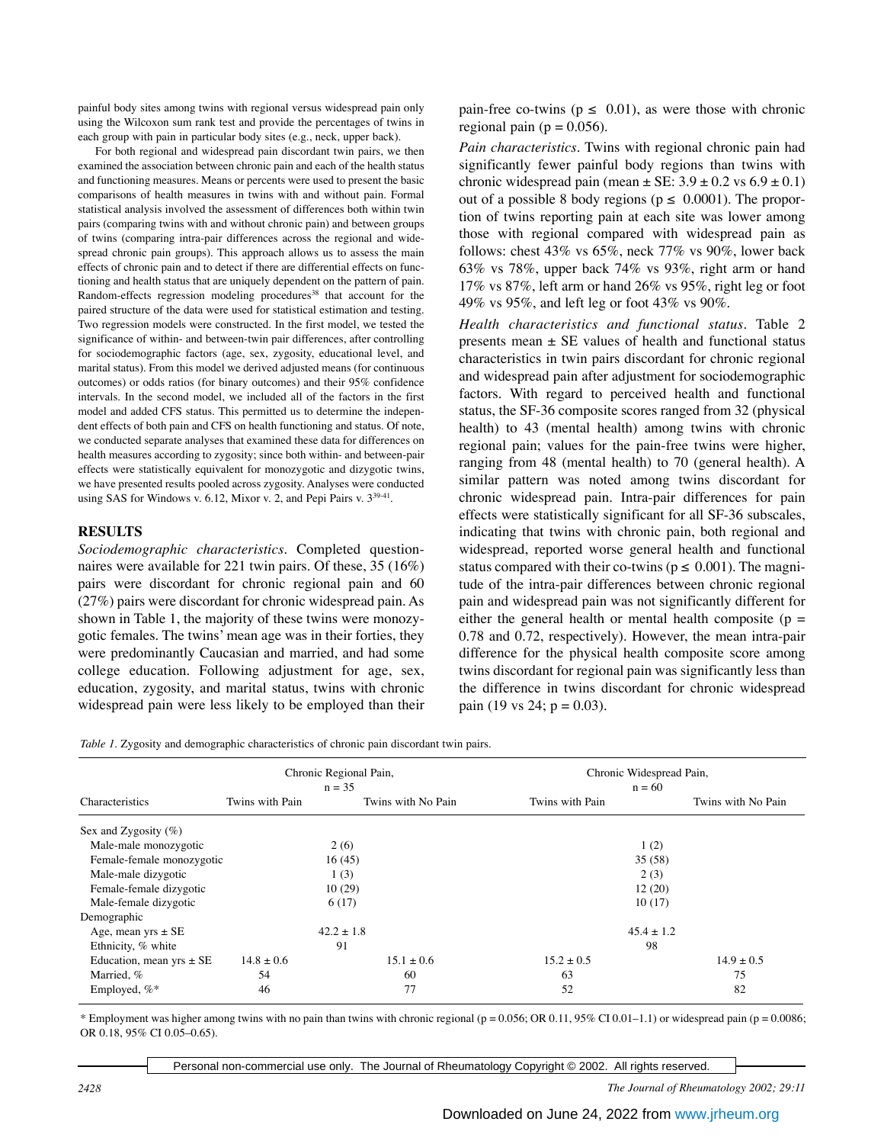painful body sites among twins with regional versus widespread pain only using the Wilcoxon sum rank test and provide the percentages of twins in each group with pain in particular body sites (e.g., neck, upper back).

For both regional and widespread pain discordant twin pairs, we then examined the association between chronic pain and each of the health status and functioning measures. Means or percents were used to present the basic comparisons of health measures in twins with and without pain. Formal statistical analysis involved the assessment of differences both within twin pairs (comparing twins with and without chronic pain) and between groups of twins (comparing intra-pair differences across the regional and widespread chronic pain groups). This approach allows us to assess the main effects of chronic pain and to detect if there are differential effects on functioning and health status that are uniquely dependent on the pattern of pain. Random-effects regression modeling procedures<sup>38</sup> that account for the paired structure of the data were used for statistical estimation and testing. Two regression models were constructed. In the first model, we tested the significance of within- and between-twin pair differences, after controlling for sociodemographic factors (age, sex, zygosity, educational level, and marital status). From this model we derived adjusted means (for continuous outcomes) or odds ratios (for binary outcomes) and their 95% confidence intervals. In the second model, we included all of the factors in the first model and added CFS status. This permitted us to determine the independent effects of both pain and CFS on health functioning and status. Of note, we conducted separate analyses that examined these data for differences on health measures according to zygosity; since both within- and between-pair effects were statistically equivalent for monozygotic and dizygotic twins, we have presented results pooled across zygosity. Analyses were conducted using SAS for Windows v. 6.12, Mixor v. 2, and Pepi Pairs v.  $3^{39-41}$ .

## **RESULTS**

*Sociodemographic characteristics.* Completed questionnaires were available for 221 twin pairs. Of these, 35 (16%) pairs were discordant for chronic regional pain and 60 (27%) pairs were discordant for chronic widespread pain. As shown in Table 1, the majority of these twins were monozygotic females. The twins' mean age was in their forties, they were predominantly Caucasian and married, and had some college education. Following adjustment for age, sex, education, zygosity, and marital status, twins with chronic widespread pain were less likely to be employed than their

pain-free co-twins ( $p \le 0.01$ ), as were those with chronic regional pain ( $p = 0.056$ ).

*Pain characteristics.* Twins with regional chronic pain had significantly fewer painful body regions than twins with chronic widespread pain (mean  $\pm$  SE: 3.9  $\pm$  0.2 vs 6.9  $\pm$  0.1) out of a possible 8 body regions ( $p \le 0.0001$ ). The proportion of twins reporting pain at each site was lower among those with regional compared with widespread pain as follows: chest 43% vs 65%, neck 77% vs 90%, lower back 63% vs 78%, upper back 74% vs 93%, right arm or hand 17% vs 87%, left arm or hand 26% vs 95%, right leg or foot 49% vs 95%, and left leg or foot 43% vs 90%.

*Health characteristics and functional status.* Table 2 presents mean  $\pm$  SE values of health and functional status characteristics in twin pairs discordant for chronic regional and widespread pain after adjustment for sociodemographic factors. With regard to perceived health and functional status, the SF-36 composite scores ranged from 32 (physical health) to 43 (mental health) among twins with chronic regional pain; values for the pain-free twins were higher, ranging from 48 (mental health) to 70 (general health). A similar pattern was noted among twins discordant for chronic widespread pain. Intra-pair differences for pain effects were statistically significant for all SF-36 subscales, indicating that twins with chronic pain, both regional and widespread, reported worse general health and functional status compared with their co-twins ( $p \leq 0.001$ ). The magnitude of the intra-pair differences between chronic regional pain and widespread pain was not significantly different for either the general health or mental health composite ( $p =$ 0.78 and 0.72, respectively). However, the mean intra-pair difference for the physical health composite score among twins discordant for regional pain was significantly less than the difference in twins discordant for chronic widespread pain (19 vs 24;  $p = 0.03$ ).

*Table 1.* Zygosity and demographic characteristics of chronic pain discordant twin pairs.

|                              |                 | Chronic Regional Pain, | Chronic Widespread Pain, |                    |  |  |
|------------------------------|-----------------|------------------------|--------------------------|--------------------|--|--|
|                              | $n = 35$        |                        | $n = 60$                 |                    |  |  |
| Characteristics              | Twins with Pain | Twins with No Pain     | Twins with Pain          | Twins with No Pain |  |  |
| Sex and Zygosity $(\%)$      |                 |                        |                          |                    |  |  |
| Male-male monozygotic        |                 | 2(6)                   | 1(2)                     |                    |  |  |
| Female-female monozygotic    |                 | 16(45)                 | 35(58)                   |                    |  |  |
| Male-male dizygotic          |                 | 1(3)                   | 2(3)                     |                    |  |  |
| Female-female dizygotic      |                 | 10(29)                 | 12(20)                   |                    |  |  |
| Male-female dizygotic        |                 | 6(17)                  | 10(17)                   |                    |  |  |
| Demographic                  |                 |                        |                          |                    |  |  |
| Age, mean yrs $\pm$ SE       | $42.2 \pm 1.8$  |                        | $45.4 \pm 1.2$           |                    |  |  |
| Ethnicity, % white           | 91              |                        | 98                       |                    |  |  |
| Education, mean $yrs \pm SE$ | $14.8 \pm 0.6$  | $15.1 \pm 0.6$         | $15.2 \pm 0.5$           | $14.9 \pm 0.5$     |  |  |
| Married, %                   | 54              | 60                     | 63                       | 75                 |  |  |
| Employed, $%^*$              | 46              | 77                     | 52                       | 82                 |  |  |

\* Employment was higher among twins with no pain than twins with chronic regional ( $p = 0.056$ ; OR 0.11, 95% CI 0.01–1.1) or widespread pain ( $p = 0.0086$ ; OR 0.18, 95% CI 0.05–0.65).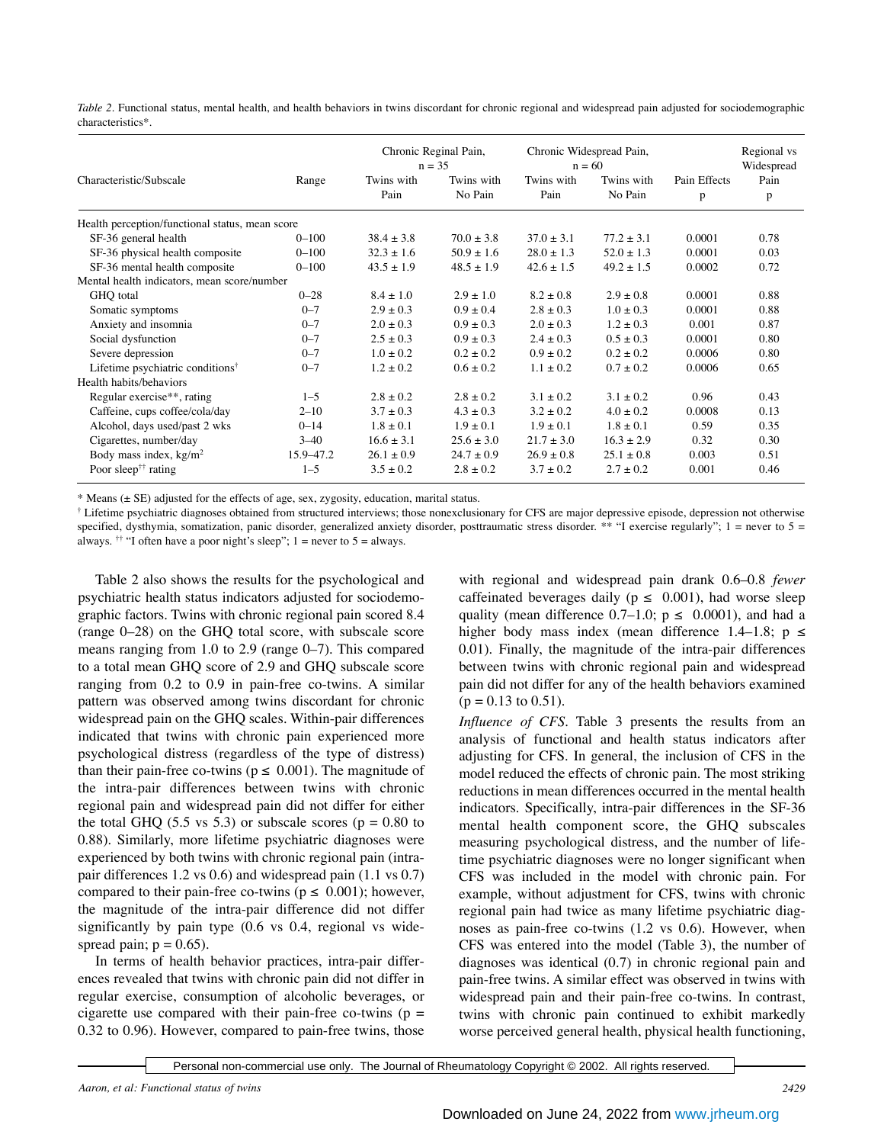*Table 2.* Functional status, mental health, and health behaviors in twins discordant for chronic regional and widespread pain adjusted for sociodemographic characteristics\*.

|                                                 |             | Chronic Reginal Pain,<br>$n = 35$ |                       | Chronic Widespread Pain,<br>$n = 60$ |                       |                   | Regional vs<br>Widespread |  |  |  |
|-------------------------------------------------|-------------|-----------------------------------|-----------------------|--------------------------------------|-----------------------|-------------------|---------------------------|--|--|--|
| Characteristic/Subscale                         | Range       | Twins with<br>Pain                | Twins with<br>No Pain | Twins with<br>Pain                   | Twins with<br>No Pain | Pain Effects<br>p | Pain<br>p                 |  |  |  |
| Health perception/functional status, mean score |             |                                   |                       |                                      |                       |                   |                           |  |  |  |
| SF-36 general health                            | $0 - 100$   | $38.4 \pm 3.8$                    | $70.0 + 3.8$          | $37.0 + 3.1$                         | $77.2 + 3.1$          | 0.0001            | 0.78                      |  |  |  |
| SF-36 physical health composite                 | $0 - 100$   | $32.3 \pm 1.6$                    | $50.9 \pm 1.6$        | $28.0 \pm 1.3$                       | $52.0 \pm 1.3$        | 0.0001            | 0.03                      |  |  |  |
| SF-36 mental health composite                   | $0 - 100$   | $43.5 \pm 1.9$                    | $48.5 \pm 1.9$        | $42.6 \pm 1.5$                       | $49.2 \pm 1.5$        | 0.0002            | 0.72                      |  |  |  |
| Mental health indicators, mean score/number     |             |                                   |                       |                                      |                       |                   |                           |  |  |  |
| GHQ total                                       | $0 - 28$    | $8.4 \pm 1.0$                     | $2.9 \pm 1.0$         | $8.2 \pm 0.8$                        | $2.9 \pm 0.8$         | 0.0001            | 0.88                      |  |  |  |
| Somatic symptoms                                | $0 - 7$     | $2.9 \pm 0.3$                     | $0.9 \pm 0.4$         | $2.8 \pm 0.3$                        | $1.0 \pm 0.3$         | 0.0001            | 0.88                      |  |  |  |
| Anxiety and insomnia                            | $0 - 7$     | $2.0 \pm 0.3$                     | $0.9 \pm 0.3$         | $2.0 \pm 0.3$                        | $1.2 \pm 0.3$         | 0.001             | 0.87                      |  |  |  |
| Social dysfunction                              | $0 - 7$     | $2.5 \pm 0.3$                     | $0.9 \pm 0.3$         | $2.4 \pm 0.3$                        | $0.5 \pm 0.3$         | 0.0001            | 0.80                      |  |  |  |
| Severe depression                               | $0 - 7$     | $1.0 + 0.2$                       | $0.2 + 0.2$           | $0.9 \pm 0.2$                        | $0.2 \pm 0.2$         | 0.0006            | 0.80                      |  |  |  |
| Lifetime psychiatric conditions <sup>†</sup>    | $0 - 7$     | $1.2 \pm 0.2$                     | $0.6 \pm 0.2$         | $1.1 \pm 0.2$                        | $0.7 \pm 0.2$         | 0.0006            | 0.65                      |  |  |  |
| Health habits/behaviors                         |             |                                   |                       |                                      |                       |                   |                           |  |  |  |
| Regular exercise**, rating                      | $1 - 5$     | $2.8 \pm 0.2$                     | $2.8 \pm 0.2$         | $3.1 \pm 0.2$                        | $3.1 \pm 0.2$         | 0.96              | 0.43                      |  |  |  |
| Caffeine, cups coffee/cola/day                  | $2 - 10$    | $3.7 \pm 0.3$                     | $4.3 \pm 0.3$         | $3.2 \pm 0.2$                        | $4.0 \pm 0.2$         | 0.0008            | 0.13                      |  |  |  |
| Alcohol, days used/past 2 wks                   | $0 - 14$    | $1.8 \pm 0.1$                     | $1.9 \pm 0.1$         | $1.9 \pm 0.1$                        | $1.8 \pm 0.1$         | 0.59              | 0.35                      |  |  |  |
| Cigarettes, number/day                          | $3 - 40$    | $16.6 \pm 3.1$                    | $25.6 \pm 3.0$        | $21.7 \pm 3.0$                       | $16.3 \pm 2.9$        | 0.32              | 0.30                      |  |  |  |
| Body mass index, $kg/m2$                        | 15.9 - 47.2 | $26.1 \pm 0.9$                    | $24.7 \pm 0.9$        | $26.9 \pm 0.8$                       | $25.1 \pm 0.8$        | 0.003             | 0.51                      |  |  |  |
| Poor sleep <sup>††</sup> rating                 | $1 - 5$     | $3.5 \pm 0.2$                     | $2.8 \pm 0.2$         | $3.7 \pm 0.2$                        | $2.7 \pm 0.2$         | 0.001             | 0.46                      |  |  |  |

\* Means (± SE) adjusted for the effects of age, sex, zygosity, education, marital status.

† Lifetime psychiatric diagnoses obtained from structured interviews; those nonexclusionary for CFS are major depressive episode, depression not otherwise specified, dysthymia, somatization, panic disorder, generalized anxiety disorder, posttraumatic stress disorder. \*\* "I exercise regularly";  $1 =$  never to  $5 =$ always. <sup>††</sup> "I often have a poor night's sleep"; 1 = never to 5 = always.

Table 2 also shows the results for the psychological and psychiatric health status indicators adjusted for sociodemographic factors. Twins with chronic regional pain scored 8.4 (range 0–28) on the GHQ total score, with subscale score means ranging from 1.0 to 2.9 (range 0–7). This compared to a total mean GHQ score of 2.9 and GHQ subscale score ranging from 0.2 to 0.9 in pain-free co-twins. A similar pattern was observed among twins discordant for chronic widespread pain on the GHQ scales. Within-pair differences indicated that twins with chronic pain experienced more psychological distress (regardless of the type of distress) than their pain-free co-twins ( $p \le 0.001$ ). The magnitude of the intra-pair differences between twins with chronic regional pain and widespread pain did not differ for either the total GHQ (5.5 vs 5.3) or subscale scores ( $p = 0.80$  to 0.88). Similarly, more lifetime psychiatric diagnoses were experienced by both twins with chronic regional pain (intrapair differences 1.2 vs 0.6) and widespread pain (1.1 vs 0.7) compared to their pain-free co-twins ( $p \leq 0.001$ ); however, the magnitude of the intra-pair difference did not differ significantly by pain type (0.6 vs 0.4, regional vs widespread pain;  $p = 0.65$ ).

In terms of health behavior practices, intra-pair differences revealed that twins with chronic pain did not differ in regular exercise, consumption of alcoholic beverages, or cigarette use compared with their pain-free co-twins ( $p =$ 0.32 to 0.96). However, compared to pain-free twins, those

with regional and widespread pain drank 0.6–0.8 *fewer* caffeinated beverages daily ( $p \leq 0.001$ ), had worse sleep quality (mean difference 0.7–1.0;  $p \le 0.0001$ ), and had a higher body mass index (mean difference 1.4–1.8;  $p \le$ 0.01). Finally, the magnitude of the intra-pair differences between twins with chronic regional pain and widespread pain did not differ for any of the health behaviors examined  $(p = 0.13$  to 0.51).

*Influence of CFS.* Table 3 presents the results from an analysis of functional and health status indicators after adjusting for CFS. In general, the inclusion of CFS in the model reduced the effects of chronic pain. The most striking reductions in mean differences occurred in the mental health indicators. Specifically, intra-pair differences in the SF-36 mental health component score, the GHQ subscales measuring psychological distress, and the number of lifetime psychiatric diagnoses were no longer significant when CFS was included in the model with chronic pain. For example, without adjustment for CFS, twins with chronic regional pain had twice as many lifetime psychiatric diagnoses as pain-free co-twins (1.2 vs 0.6). However, when CFS was entered into the model (Table 3), the number of diagnoses was identical (0.7) in chronic regional pain and pain-free twins. A similar effect was observed in twins with widespread pain and their pain-free co-twins. In contrast, twins with chronic pain continued to exhibit markedly worse perceived general health, physical health functioning,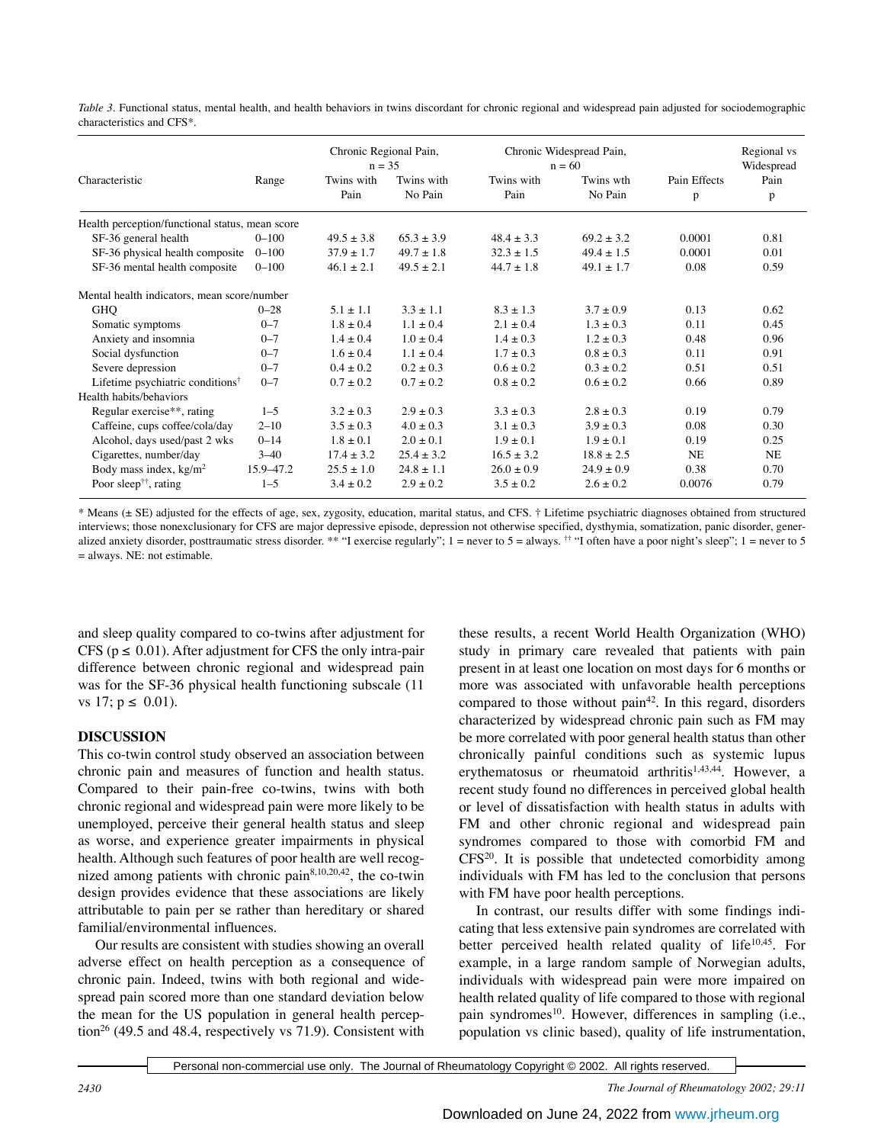*Table 3.* Functional status, mental health, and health behaviors in twins discordant for chronic regional and widespread pain adjusted for sociodemographic characteristics and CFS\*.

|                                                 |           |                    | Chronic Regional Pain,<br>$n = 35$ |                    | Chronic Widespread Pain,<br>$n = 60$ |                   | Regional vs<br>Widespread |  |
|-------------------------------------------------|-----------|--------------------|------------------------------------|--------------------|--------------------------------------|-------------------|---------------------------|--|
| Characteristic                                  | Range     | Twins with<br>Pain | Twins with<br>No Pain              | Twins with<br>Pain | Twins wth<br>No Pain                 | Pain Effects<br>p | Pain<br>p                 |  |
| Health perception/functional status, mean score |           |                    |                                    |                    |                                      |                   |                           |  |
| SF-36 general health                            | $0 - 100$ | $49.5 \pm 3.8$     | $65.3 \pm 3.9$                     | $48.4 + 3.3$       | $69.2 + 3.2$                         | 0.0001            | 0.81                      |  |
| SF-36 physical health composite                 | $0 - 100$ | $37.9 \pm 1.7$     | $49.7 \pm 1.8$                     | $32.3 \pm 1.5$     | $49.4 + 1.5$                         | 0.0001            | 0.01                      |  |
| SF-36 mental health composite                   | $0 - 100$ | $46.1 \pm 2.1$     | $49.5 \pm 2.1$                     | $44.7 \pm 1.8$     | $49.1 \pm 1.7$                       | 0.08              | 0.59                      |  |
| Mental health indicators, mean score/number     |           |                    |                                    |                    |                                      |                   |                           |  |
| <b>GHQ</b>                                      | $0 - 28$  | $5.1 + 1.1$        | $3.3 + 1.1$                        | $8.3 + 1.3$        | $3.7 \pm 0.9$                        | 0.13              | 0.62                      |  |
| Somatic symptoms                                | $0 - 7$   | $1.8 \pm 0.4$      | $1.1 \pm 0.4$                      | $2.1 + 0.4$        | $1.3 + 0.3$                          | 0.11              | 0.45                      |  |
| Anxiety and insomnia                            | $0 - 7$   | $1.4 \pm 0.4$      | $1.0 \pm 0.4$                      | $1.4 \pm 0.3$      | $1.2 \pm 0.3$                        | 0.48              | 0.96                      |  |
| Social dysfunction                              | $0 - 7$   | $1.6 \pm 0.4$      | $1.1 \pm 0.4$                      | $1.7 \pm 0.3$      | $0.8 \pm 0.3$                        | 0.11              | 0.91                      |  |
| Severe depression                               | $0 - 7$   | $0.4 \pm 0.2$      | $0.2 \pm 0.3$                      | $0.6 + 0.2$        | $0.3 \pm 0.2$                        | 0.51              | 0.51                      |  |
| Lifetime psychiatric conditions <sup>†</sup>    | $0 - 7$   | $0.7 \pm 0.2$      | $0.7 + 0.2$                        | $0.8 \pm 0.2$      | $0.6 \pm 0.2$                        | 0.66              | 0.89                      |  |
| Health habits/behaviors                         |           |                    |                                    |                    |                                      |                   |                           |  |
| Regular exercise**, rating                      | $1 - 5$   | $3.2 + 0.3$        | $2.9 + 0.3$                        | $3.3 + 0.3$        | $2.8 + 0.3$                          | 0.19              | 0.79                      |  |
| Caffeine, cups coffee/cola/day                  | $2 - 10$  | $3.5 \pm 0.3$      | $4.0 \pm 0.3$                      | $3.1 \pm 0.3$      | $3.9 \pm 0.3$                        | 0.08              | 0.30                      |  |
| Alcohol, days used/past 2 wks                   | $0 - 14$  | $1.8 \pm 0.1$      | $2.0 \pm 0.1$                      | $1.9 + 0.1$        | $1.9 + 0.1$                          | 0.19              | 0.25                      |  |
| Cigarettes, number/day                          | $3 - 40$  | $17.4 \pm 3.2$     | $25.4 \pm 3.2$                     | $16.5 \pm 3.2$     | $18.8 \pm 2.5$                       | <b>NE</b>         | <b>NE</b>                 |  |
| Body mass index, $kg/m2$                        | 15.9-47.2 | $25.5 \pm 1.0$     | $24.8 \pm 1.1$                     | $26.0 \pm 0.9$     | $24.9 \pm 0.9$                       | 0.38              | 0.70                      |  |
| Poor sleep <sup>††</sup> , rating               | $1 - 5$   | $3.4 \pm 0.2$      | $2.9 \pm 0.2$                      | $3.5 \pm 0.2$      | $2.6 \pm 0.2$                        | 0.0076            | 0.79                      |  |

\* Means (± SE) adjusted for the effects of age, sex, zygosity, education, marital status, and CFS. † Lifetime psychiatric diagnoses obtained from structured interviews; those nonexclusionary for CFS are major depressive episode, depression not otherwise specified, dysthymia, somatization, panic disorder, generalized anxiety disorder, posttraumatic stress disorder. \*\* "I exercise regularly"; 1 = never to 5 = always. <sup>††</sup> "I often have a poor night's sleep"; 1 = never to 5 = always. NE: not estimable.

and sleep quality compared to co-twins after adjustment for CFS ( $p \le 0.01$ ). After adjustment for CFS the only intra-pair difference between chronic regional and widespread pain was for the SF-36 physical health functioning subscale (11 vs 17;  $p \le 0.01$ ).

## **DISCUSSION**

This co-twin control study observed an association between chronic pain and measures of function and health status. Compared to their pain-free co-twins, twins with both chronic regional and widespread pain were more likely to be unemployed, perceive their general health status and sleep as worse, and experience greater impairments in physical health. Although such features of poor health are well recognized among patients with chronic pain $8,10,20,42$ , the co-twin design provides evidence that these associations are likely attributable to pain per se rather than hereditary or shared familial/environmental influences.

Our results are consistent with studies showing an overall adverse effect on health perception as a consequence of chronic pain. Indeed, twins with both regional and widespread pain scored more than one standard deviation below the mean for the US population in general health perception<sup>26</sup> (49.5 and 48.4, respectively vs 71.9). Consistent with

these results, a recent World Health Organization (WHO) study in primary care revealed that patients with pain present in at least one location on most days for 6 months or more was associated with unfavorable health perceptions compared to those without pain<sup>42</sup>. In this regard, disorders characterized by widespread chronic pain such as FM may be more correlated with poor general health status than other chronically painful conditions such as systemic lupus erythematosus or rheumatoid arthritis<sup>1,43,44</sup>. However, a recent study found no differences in perceived global health or level of dissatisfaction with health status in adults with FM and other chronic regional and widespread pain syndromes compared to those with comorbid FM and  $CFS^{20}$ . It is possible that undetected comorbidity among individuals with FM has led to the conclusion that persons with FM have poor health perceptions.

In contrast, our results differ with some findings indicating that less extensive pain syndromes are correlated with better perceived health related quality of life $10,45$ . For example, in a large random sample of Norwegian adults, individuals with widespread pain were more impaired on health related quality of life compared to those with regional pain syndromes<sup>10</sup>. However, differences in sampling (i.e., population vs clinic based), quality of life instrumentation,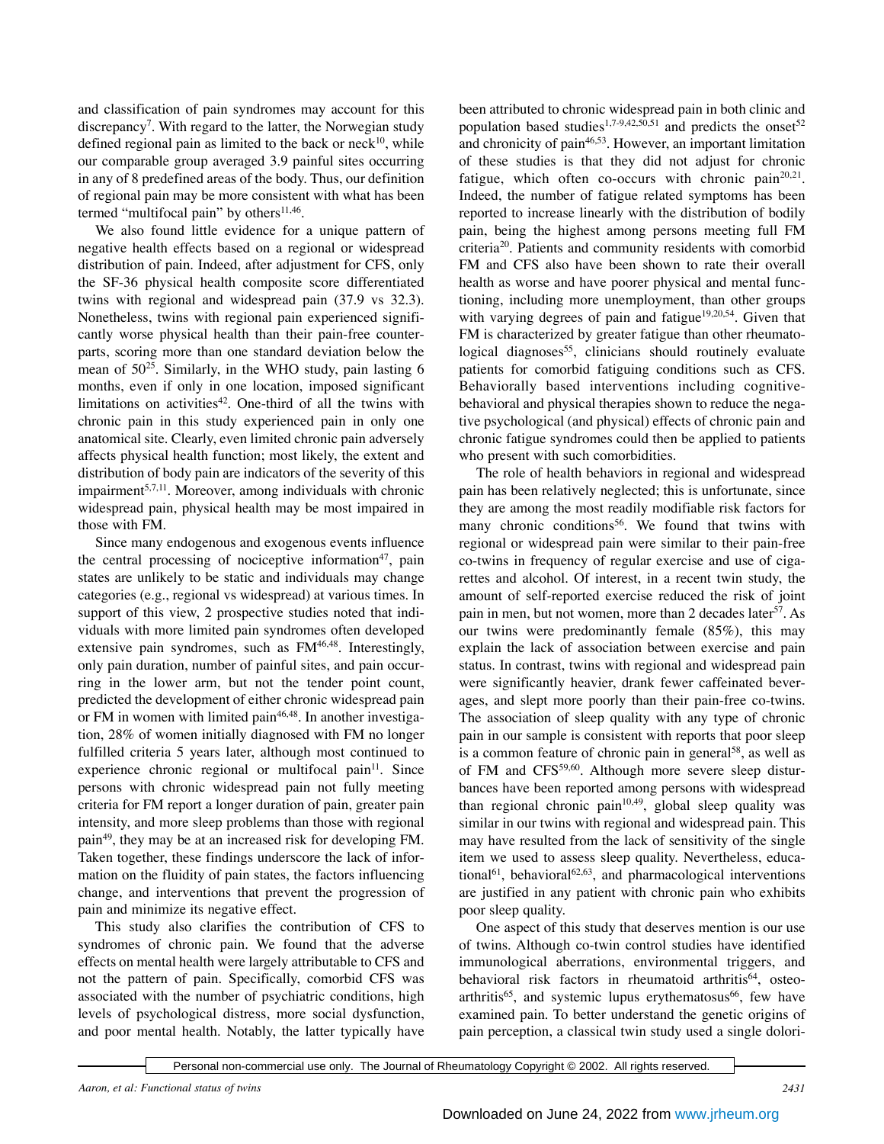and classification of pain syndromes may account for this discrepancy<sup>7</sup>. With regard to the latter, the Norwegian study defined regional pain as limited to the back or neck $10$ , while our comparable group averaged 3.9 painful sites occurring in any of 8 predefined areas of the body. Thus, our definition of regional pain may be more consistent with what has been termed "multifocal pain" by others $11,46$ .

We also found little evidence for a unique pattern of negative health effects based on a regional or widespread distribution of pain. Indeed, after adjustment for CFS, only the SF-36 physical health composite score differentiated twins with regional and widespread pain (37.9 vs 32.3). Nonetheless, twins with regional pain experienced significantly worse physical health than their pain-free counterparts, scoring more than one standard deviation below the mean of  $50^{25}$ . Similarly, in the WHO study, pain lasting 6 months, even if only in one location, imposed significant limitations on activities $42$ . One-third of all the twins with chronic pain in this study experienced pain in only one anatomical site. Clearly, even limited chronic pain adversely affects physical health function; most likely, the extent and distribution of body pain are indicators of the severity of this impairment $5,7,11$ . Moreover, among individuals with chronic widespread pain, physical health may be most impaired in those with FM.

Since many endogenous and exogenous events influence the central processing of nociceptive information<sup>47</sup>, pain states are unlikely to be static and individuals may change categories (e.g., regional vs widespread) at various times. In support of this view, 2 prospective studies noted that individuals with more limited pain syndromes often developed extensive pain syndromes, such as FM<sup>46,48</sup>. Interestingly, only pain duration, number of painful sites, and pain occurring in the lower arm, but not the tender point count, predicted the development of either chronic widespread pain or FM in women with limited pain<sup>46,48</sup>. In another investigation, 28% of women initially diagnosed with FM no longer fulfilled criteria 5 years later, although most continued to experience chronic regional or multifocal pain<sup>11</sup>. Since persons with chronic widespread pain not fully meeting criteria for FM report a longer duration of pain, greater pain intensity, and more sleep problems than those with regional pain49, they may be at an increased risk for developing FM. Taken together, these findings underscore the lack of information on the fluidity of pain states, the factors influencing change, and interventions that prevent the progression of pain and minimize its negative effect.

This study also clarifies the contribution of CFS to syndromes of chronic pain. We found that the adverse effects on mental health were largely attributable to CFS and not the pattern of pain. Specifically, comorbid CFS was associated with the number of psychiatric conditions, high levels of psychological distress, more social dysfunction, and poor mental health. Notably, the latter typically have been attributed to chronic widespread pain in both clinic and population based studies<sup>1,7-9,42,50,51</sup> and predicts the onset<sup>52</sup> and chronicity of pain<sup>46,53</sup>. However, an important limitation of these studies is that they did not adjust for chronic fatigue, which often co-occurs with chronic pain<sup>20,21</sup>. Indeed, the number of fatigue related symptoms has been reported to increase linearly with the distribution of bodily pain, being the highest among persons meeting full FM criteria20. Patients and community residents with comorbid FM and CFS also have been shown to rate their overall health as worse and have poorer physical and mental functioning, including more unemployment, than other groups with varying degrees of pain and fatigue<sup>19,20,54</sup>. Given that FM is characterized by greater fatigue than other rheumatological diagnoses<sup>55</sup>, clinicians should routinely evaluate patients for comorbid fatiguing conditions such as CFS. Behaviorally based interventions including cognitivebehavioral and physical therapies shown to reduce the negative psychological (and physical) effects of chronic pain and chronic fatigue syndromes could then be applied to patients who present with such comorbidities.

The role of health behaviors in regional and widespread pain has been relatively neglected; this is unfortunate, since they are among the most readily modifiable risk factors for many chronic conditions<sup>56</sup>. We found that twins with regional or widespread pain were similar to their pain-free co-twins in frequency of regular exercise and use of cigarettes and alcohol. Of interest, in a recent twin study, the amount of self-reported exercise reduced the risk of joint pain in men, but not women, more than 2 decades later<sup>57</sup>. As our twins were predominantly female (85%), this may explain the lack of association between exercise and pain status. In contrast, twins with regional and widespread pain were significantly heavier, drank fewer caffeinated beverages, and slept more poorly than their pain-free co-twins. The association of sleep quality with any type of chronic pain in our sample is consistent with reports that poor sleep is a common feature of chronic pain in general<sup>58</sup>, as well as of FM and CFS<sup>59,60</sup>. Although more severe sleep disturbances have been reported among persons with widespread than regional chronic pain<sup>10,49</sup>, global sleep quality was similar in our twins with regional and widespread pain. This may have resulted from the lack of sensitivity of the single item we used to assess sleep quality. Nevertheless, educational<sup>61</sup>, behavioral<sup>62,63</sup>, and pharmacological interventions are justified in any patient with chronic pain who exhibits poor sleep quality.

One aspect of this study that deserves mention is our use of twins. Although co-twin control studies have identified immunological aberrations, environmental triggers, and behavioral risk factors in rheumatoid arthritis<sup>64</sup>, osteoarthritis<sup>65</sup>, and systemic lupus erythematosus<sup>66</sup>, few have examined pain. To better understand the genetic origins of pain perception, a classical twin study used a single dolori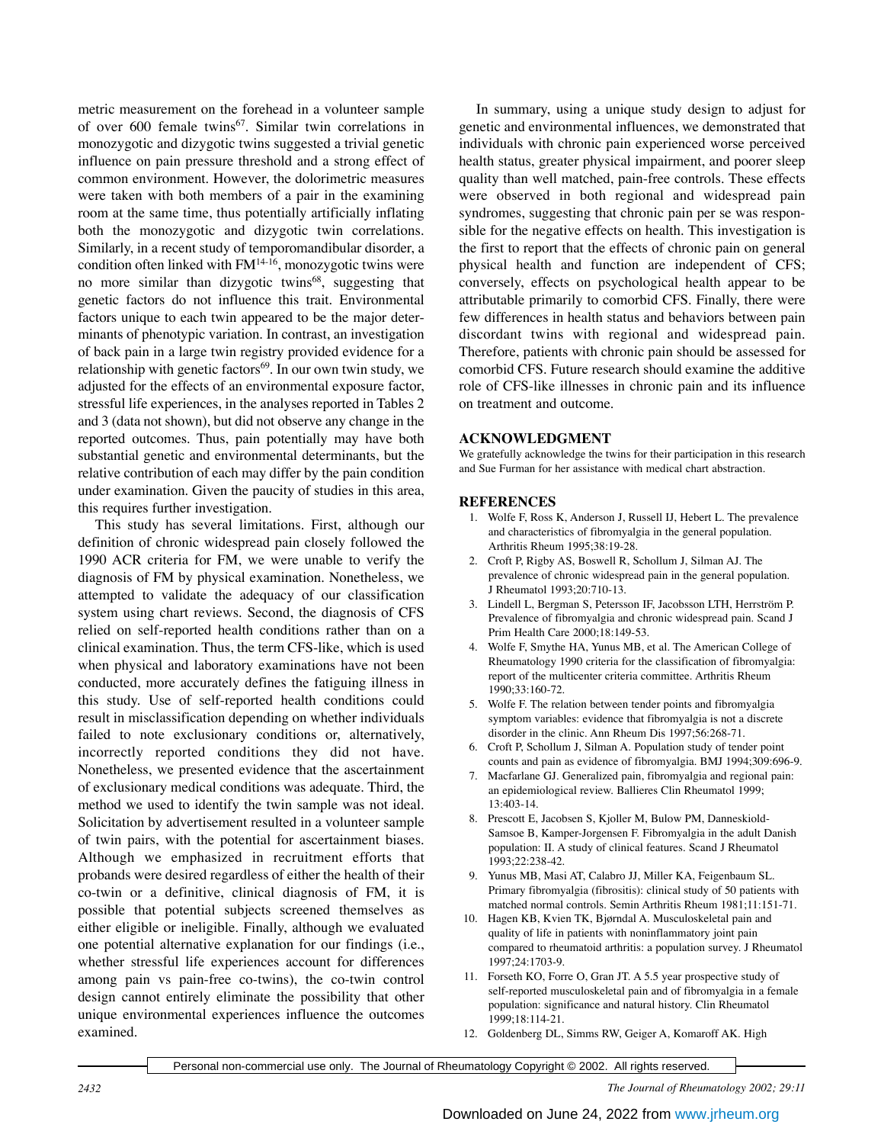metric measurement on the forehead in a volunteer sample of over 600 female twins<sup>67</sup>. Similar twin correlations in monozygotic and dizygotic twins suggested a trivial genetic influence on pain pressure threshold and a strong effect of common environment. However, the dolorimetric measures were taken with both members of a pair in the examining room at the same time, thus potentially artificially inflating both the monozygotic and dizygotic twin correlations. Similarly, in a recent study of temporomandibular disorder, a condition often linked with  $FM<sup>14-16</sup>$ , monozygotic twins were no more similar than dizygotic twins<sup>68</sup>, suggesting that genetic factors do not influence this trait. Environmental factors unique to each twin appeared to be the major determinants of phenotypic variation. In contrast, an investigation of back pain in a large twin registry provided evidence for a relationship with genetic factors<sup>69</sup>. In our own twin study, we adjusted for the effects of an environmental exposure factor, stressful life experiences, in the analyses reported in Tables 2 and 3 (data not shown), but did not observe any change in the reported outcomes. Thus, pain potentially may have both substantial genetic and environmental determinants, but the relative contribution of each may differ by the pain condition under examination. Given the paucity of studies in this area, this requires further investigation.

This study has several limitations. First, although our definition of chronic widespread pain closely followed the 1990 ACR criteria for FM, we were unable to verify the diagnosis of FM by physical examination. Nonetheless, we attempted to validate the adequacy of our classification system using chart reviews. Second, the diagnosis of CFS relied on self-reported health conditions rather than on a clinical examination. Thus, the term CFS-like, which is used when physical and laboratory examinations have not been conducted, more accurately defines the fatiguing illness in this study. Use of self-reported health conditions could result in misclassification depending on whether individuals failed to note exclusionary conditions or, alternatively, incorrectly reported conditions they did not have. Nonetheless, we presented evidence that the ascertainment of exclusionary medical conditions was adequate. Third, the method we used to identify the twin sample was not ideal. Solicitation by advertisement resulted in a volunteer sample of twin pairs, with the potential for ascertainment biases. Although we emphasized in recruitment efforts that probands were desired regardless of either the health of their co-twin or a definitive, clinical diagnosis of FM, it is possible that potential subjects screened themselves as either eligible or ineligible. Finally, although we evaluated one potential alternative explanation for our findings (i.e., whether stressful life experiences account for differences among pain vs pain-free co-twins), the co-twin control design cannot entirely eliminate the possibility that other unique environmental experiences influence the outcomes examined.

In summary, using a unique study design to adjust for genetic and environmental influences, we demonstrated that individuals with chronic pain experienced worse perceived health status, greater physical impairment, and poorer sleep quality than well matched, pain-free controls. These effects were observed in both regional and widespread pain syndromes, suggesting that chronic pain per se was responsible for the negative effects on health. This investigation is the first to report that the effects of chronic pain on general physical health and function are independent of CFS; conversely, effects on psychological health appear to be attributable primarily to comorbid CFS. Finally, there were few differences in health status and behaviors between pain discordant twins with regional and widespread pain. Therefore, patients with chronic pain should be assessed for comorbid CFS. Future research should examine the additive role of CFS-like illnesses in chronic pain and its influence on treatment and outcome.

## **ACKNOWLEDGMENT**

We gratefully acknowledge the twins for their participation in this research and Sue Furman for her assistance with medical chart abstraction.

## **REFERENCES**

- 1. Wolfe F, Ross K, Anderson J, Russell IJ, Hebert L. The prevalence and characteristics of fibromyalgia in the general population. Arthritis Rheum 1995;38:19-28.
- 2. Croft P, Rigby AS, Boswell R, Schollum J, Silman AJ. The prevalence of chronic widespread pain in the general population. J Rheumatol 1993;20:710-13.
- 3. Lindell L, Bergman S, Petersson IF, Jacobsson LTH, Herrström P. Prevalence of fibromyalgia and chronic widespread pain. Scand J Prim Health Care 2000;18:149-53.
- 4. Wolfe F, Smythe HA, Yunus MB, et al. The American College of Rheumatology 1990 criteria for the classification of fibromyalgia: report of the multicenter criteria committee. Arthritis Rheum 1990;33:160-72.
- 5. Wolfe F. The relation between tender points and fibromyalgia symptom variables: evidence that fibromyalgia is not a discrete disorder in the clinic. Ann Rheum Dis 1997;56:268-71.
- 6. Croft P, Schollum J, Silman A. Population study of tender point counts and pain as evidence of fibromyalgia. BMJ 1994;309:696-9.
- 7. Macfarlane GJ. Generalized pain, fibromyalgia and regional pain: an epidemiological review. Ballieres Clin Rheumatol 1999; 13:403-14.
- 8. Prescott E, Jacobsen S, Kjoller M, Bulow PM, Danneskiold-Samsoe B, Kamper-Jorgensen F. Fibromyalgia in the adult Danish population: II. A study of clinical features. Scand J Rheumatol 1993;22:238-42.
- 9. Yunus MB, Masi AT, Calabro JJ, Miller KA, Feigenbaum SL. Primary fibromyalgia (fibrositis): clinical study of 50 patients with matched normal controls. Semin Arthritis Rheum 1981;11:151-71.
- 10. Hagen KB, Kvien TK, Bjørndal A. Musculoskeletal pain and quality of life in patients with noninflammatory joint pain compared to rheumatoid arthritis: a population survey. J Rheumatol 1997;24:1703-9.
- 11. Forseth KO, Forre O, Gran JT. A 5.5 year prospective study of self-reported musculoskeletal pain and of fibromyalgia in a female population: significance and natural history. Clin Rheumatol 1999;18:114-21.
- 12. Goldenberg DL, Simms RW, Geiger A, Komaroff AK. High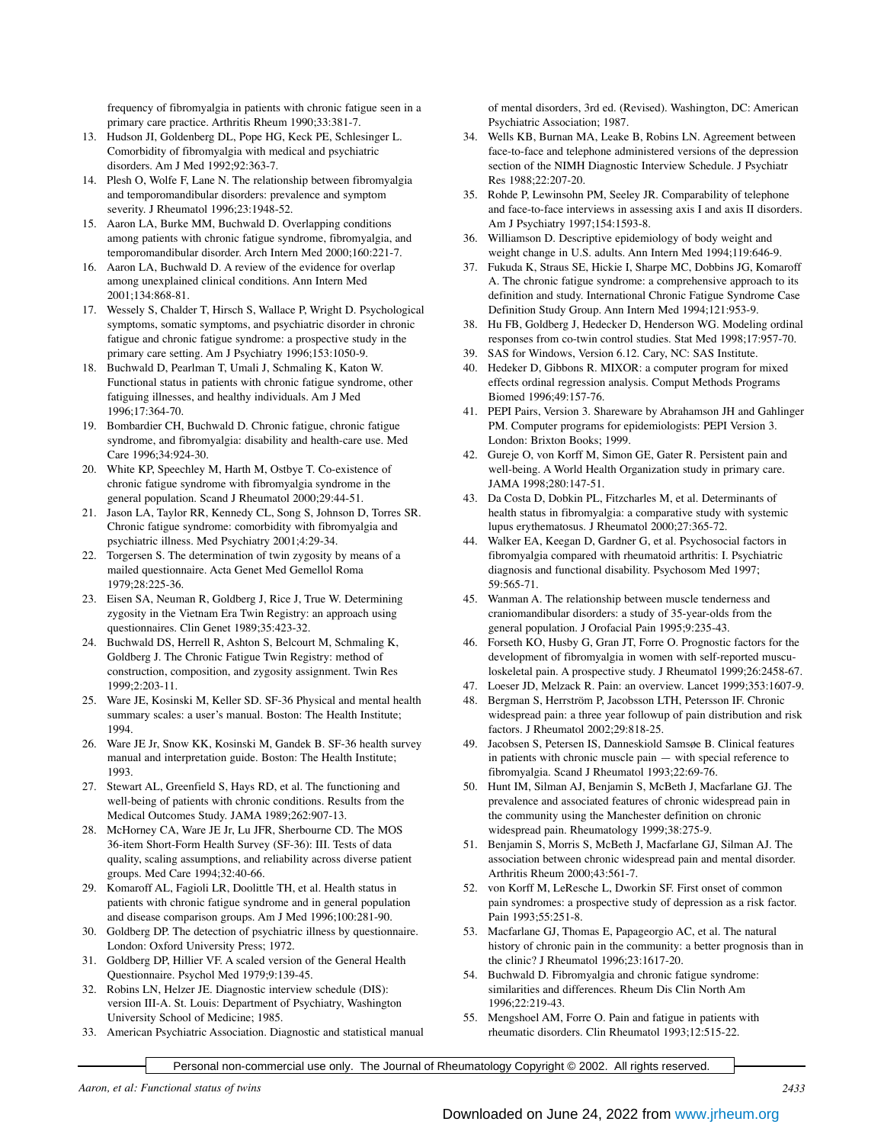frequency of fibromyalgia in patients with chronic fatigue seen in a primary care practice. Arthritis Rheum 1990;33:381-7.

- 13. Hudson JI, Goldenberg DL, Pope HG, Keck PE, Schlesinger L. Comorbidity of fibromyalgia with medical and psychiatric disorders. Am J Med 1992;92:363-7.
- 14. Plesh O, Wolfe F, Lane N. The relationship between fibromyalgia and temporomandibular disorders: prevalence and symptom severity. J Rheumatol 1996;23:1948-52.
- 15. Aaron LA, Burke MM, Buchwald D. Overlapping conditions among patients with chronic fatigue syndrome, fibromyalgia, and temporomandibular disorder. Arch Intern Med 2000;160:221-7.
- 16. Aaron LA, Buchwald D. A review of the evidence for overlap among unexplained clinical conditions. Ann Intern Med 2001;134:868-81.
- 17. Wessely S, Chalder T, Hirsch S, Wallace P, Wright D. Psychological symptoms, somatic symptoms, and psychiatric disorder in chronic fatigue and chronic fatigue syndrome: a prospective study in the primary care setting. Am J Psychiatry 1996;153:1050-9.
- 18. Buchwald D, Pearlman T, Umali J, Schmaling K, Katon W. Functional status in patients with chronic fatigue syndrome, other fatiguing illnesses, and healthy individuals. Am J Med 1996;17:364-70.
- 19. Bombardier CH, Buchwald D. Chronic fatigue, chronic fatigue syndrome, and fibromyalgia: disability and health-care use. Med Care 1996;34:924-30.
- 20. White KP, Speechley M, Harth M, Ostbye T. Co-existence of chronic fatigue syndrome with fibromyalgia syndrome in the general population. Scand J Rheumatol 2000;29:44-51.
- 21. Jason LA, Taylor RR, Kennedy CL, Song S, Johnson D, Torres SR. Chronic fatigue syndrome: comorbidity with fibromyalgia and psychiatric illness. Med Psychiatry 2001;4:29-34.
- 22. Torgersen S. The determination of twin zygosity by means of a mailed questionnaire. Acta Genet Med Gemellol Roma 1979;28:225-36.
- 23. Eisen SA, Neuman R, Goldberg J, Rice J, True W. Determining zygosity in the Vietnam Era Twin Registry: an approach using questionnaires. Clin Genet 1989;35:423-32.
- 24. Buchwald DS, Herrell R, Ashton S, Belcourt M, Schmaling K, Goldberg J. The Chronic Fatigue Twin Registry: method of construction, composition, and zygosity assignment. Twin Res 1999;2:203-11.
- 25. Ware JE, Kosinski M, Keller SD. SF-36 Physical and mental health summary scales: a user's manual. Boston: The Health Institute; 1994.
- 26. Ware JE Jr, Snow KK, Kosinski M, Gandek B. SF-36 health survey manual and interpretation guide. Boston: The Health Institute; 1993.
- 27. Stewart AL, Greenfield S, Hays RD, et al. The functioning and well-being of patients with chronic conditions. Results from the Medical Outcomes Study. JAMA 1989;262:907-13.
- 28. McHorney CA, Ware JE Jr, Lu JFR, Sherbourne CD. The MOS 36-item Short-Form Health Survey (SF-36): III. Tests of data quality, scaling assumptions, and reliability across diverse patient groups. Med Care 1994;32:40-66.
- 29. Komaroff AL, Fagioli LR, Doolittle TH, et al. Health status in patients with chronic fatigue syndrome and in general population and disease comparison groups. Am J Med 1996;100:281-90.
- 30. Goldberg DP. The detection of psychiatric illness by questionnaire. London: Oxford University Press; 1972.
- 31. Goldberg DP, Hillier VF. A scaled version of the General Health Questionnaire. Psychol Med 1979;9:139-45.
- 32. Robins LN, Helzer JE. Diagnostic interview schedule (DIS): version III-A. St. Louis: Department of Psychiatry, Washington University School of Medicine; 1985.
- 33. American Psychiatric Association. Diagnostic and statistical manual

of mental disorders, 3rd ed. (Revised). Washington, DC: American Psychiatric Association; 1987.

- 34. Wells KB, Burnan MA, Leake B, Robins LN. Agreement between face-to-face and telephone administered versions of the depression section of the NIMH Diagnostic Interview Schedule. J Psychiatr Res 1988;22:207-20.
- 35. Rohde P, Lewinsohn PM, Seeley JR. Comparability of telephone and face-to-face interviews in assessing axis I and axis II disorders. Am J Psychiatry 1997;154:1593-8.
- 36. Williamson D. Descriptive epidemiology of body weight and weight change in U.S. adults. Ann Intern Med 1994;119:646-9.
- 37. Fukuda K, Straus SE, Hickie I, Sharpe MC, Dobbins JG, Komaroff A. The chronic fatigue syndrome: a comprehensive approach to its definition and study. International Chronic Fatigue Syndrome Case Definition Study Group. Ann Intern Med 1994;121:953-9.
- 38. Hu FB, Goldberg J, Hedecker D, Henderson WG. Modeling ordinal responses from co-twin control studies. Stat Med 1998;17:957-70.
- 39. SAS for Windows, Version 6.12. Cary, NC: SAS Institute.
- 40. Hedeker D, Gibbons R. MIXOR: a computer program for mixed effects ordinal regression analysis. Comput Methods Programs Biomed 1996;49:157-76.
- 41. PEPI Pairs, Version 3. Shareware by Abrahamson JH and Gahlinger PM. Computer programs for epidemiologists: PEPI Version 3. London: Brixton Books; 1999.
- 42. Gureje O, von Korff M, Simon GE, Gater R. Persistent pain and well-being. A World Health Organization study in primary care. JAMA 1998;280:147-51.
- 43. Da Costa D, Dobkin PL, Fitzcharles M, et al. Determinants of health status in fibromyalgia: a comparative study with systemic lupus erythematosus. J Rheumatol 2000;27:365-72.
- 44. Walker EA, Keegan D, Gardner G, et al. Psychosocial factors in fibromyalgia compared with rheumatoid arthritis: I. Psychiatric diagnosis and functional disability. Psychosom Med 1997; 59:565-71.
- 45. Wanman A. The relationship between muscle tenderness and craniomandibular disorders: a study of 35-year-olds from the general population. J Orofacial Pain 1995;9:235-43.
- 46. Forseth KO, Husby G, Gran JT, Forre O. Prognostic factors for the development of fibromyalgia in women with self-reported musculoskeletal pain. A prospective study. J Rheumatol 1999;26:2458-67.
- 47. Loeser JD, Melzack R. Pain: an overview. Lancet 1999;353:1607-9.
- 48. Bergman S, Herrström P, Jacobsson LTH, Petersson IF. Chronic widespread pain: a three year followup of pain distribution and risk factors. J Rheumatol 2002;29:818-25.
- 49. Jacobsen S, Petersen IS, Danneskiold Samsøe B. Clinical features in patients with chronic muscle pain — with special reference to fibromyalgia. Scand J Rheumatol 1993;22:69-76.
- 50. Hunt IM, Silman AJ, Benjamin S, McBeth J, Macfarlane GJ. The prevalence and associated features of chronic widespread pain in the community using the Manchester definition on chronic widespread pain. Rheumatology 1999;38:275-9.
- 51. Benjamin S, Morris S, McBeth J, Macfarlane GJ, Silman AJ. The association between chronic widespread pain and mental disorder. Arthritis Rheum 2000;43:561-7.
- 52. von Korff M, LeResche L, Dworkin SF. First onset of common pain syndromes: a prospective study of depression as a risk factor. Pain 1993;55:251-8.
- 53. Macfarlane GJ, Thomas E, Papageorgio AC, et al. The natural history of chronic pain in the community: a better prognosis than in the clinic? J Rheumatol 1996;23:1617-20.
- 54. Buchwald D. Fibromyalgia and chronic fatigue syndrome: similarities and differences. Rheum Dis Clin North Am 1996;22:219-43.
- 55. Mengshoel AM, Forre O. Pain and fatigue in patients with rheumatic disorders. Clin Rheumatol 1993;12:515-22.